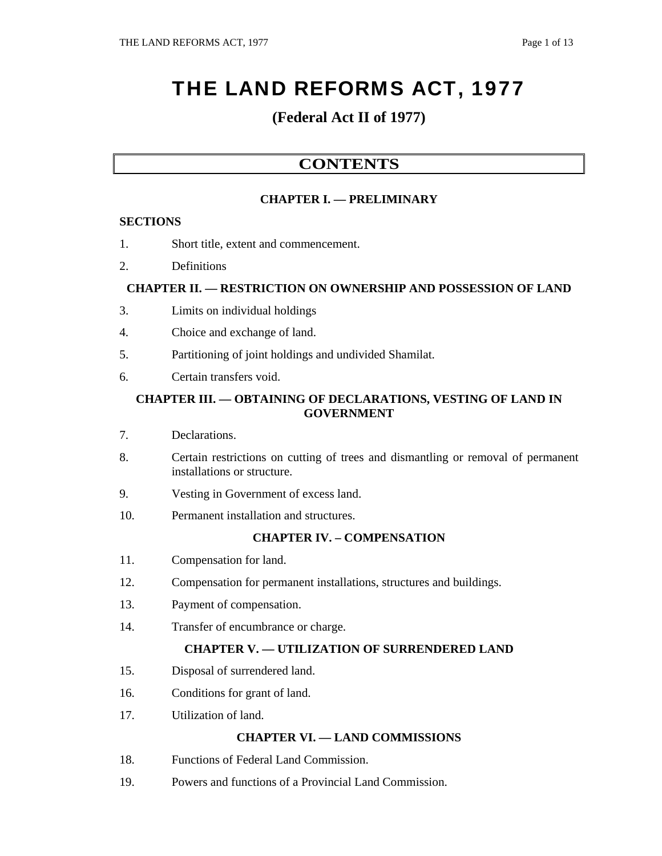# THE LAND REFORMS ACT, 1977

## **(Federal Act II of 1977)**

### **CONTENTS**

#### **CHAPTER I. — PRELIMINARY**

#### **SECTIONS**

- 1. Short title, extent and commencement.
- 2. Definitions

#### **CHAPTER II. — RESTRICTION ON OWNERSHIP AND POSSESSION OF LAND**

- 3. Limits on individual holdings
- 4. Choice and exchange of land.
- 5. Partitioning of joint holdings and undivided Shamilat.
- 6. Certain transfers void.

#### **CHAPTER III. — OBTAINING OF DECLARATIONS, VESTING OF LAND IN GOVERNMENT**

- 7. Declarations.
- 8. Certain restrictions on cutting of trees and dismantling or removal of permanent installations or structure.
- 9. Vesting in Government of excess land.
- 10. Permanent installation and structures.

#### **CHAPTER IV. – COMPENSATION**

- 11. Compensation for land.
- 12. Compensation for permanent installations, structures and buildings.
- 13. Payment of compensation.
- 14. Transfer of encumbrance or charge.

#### **CHAPTER V. — UTILIZATION OF SURRENDERED LAND**

- 15. Disposal of surrendered land.
- 16. Conditions for grant of land.
- 17. Utilization of land.

#### **CHAPTER VI. — LAND COMMISSIONS**

- 18. Functions of Federal Land Commission.
- 19. Powers and functions of a Provincial Land Commission.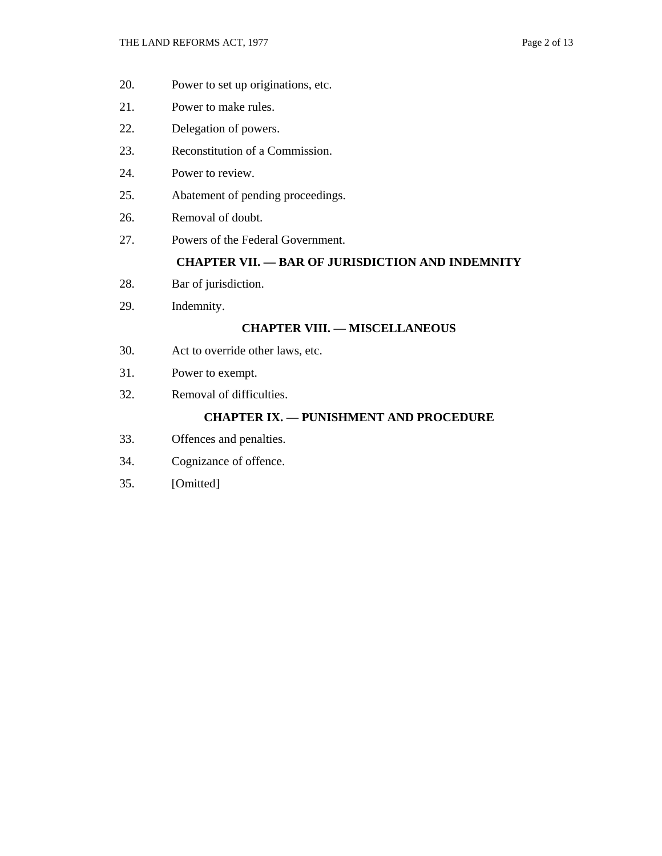- 20. Power to set up originations, etc.
- 21. Power to make rules.
- 22. Delegation of powers.
- 23. Reconstitution of a Commission.
- 24. Power to review.
- 25. Abatement of pending proceedings.
- 26. Removal of doubt.
- 27. Powers of the Federal Government.

#### **CHAPTER VII. — BAR OF JURISDICTION AND INDEMNITY**

- 28. Bar of jurisdiction.
- 29. Indemnity.

#### **CHAPTER VIII. — MISCELLANEOUS**

- 30. Act to override other laws, etc.
- 31. Power to exempt.
- 32. Removal of difficulties.

#### **CHAPTER IX. — PUNISHMENT AND PROCEDURE**

- 33. Offences and penalties.
- 34. Cognizance of offence.
- 35. [Omitted]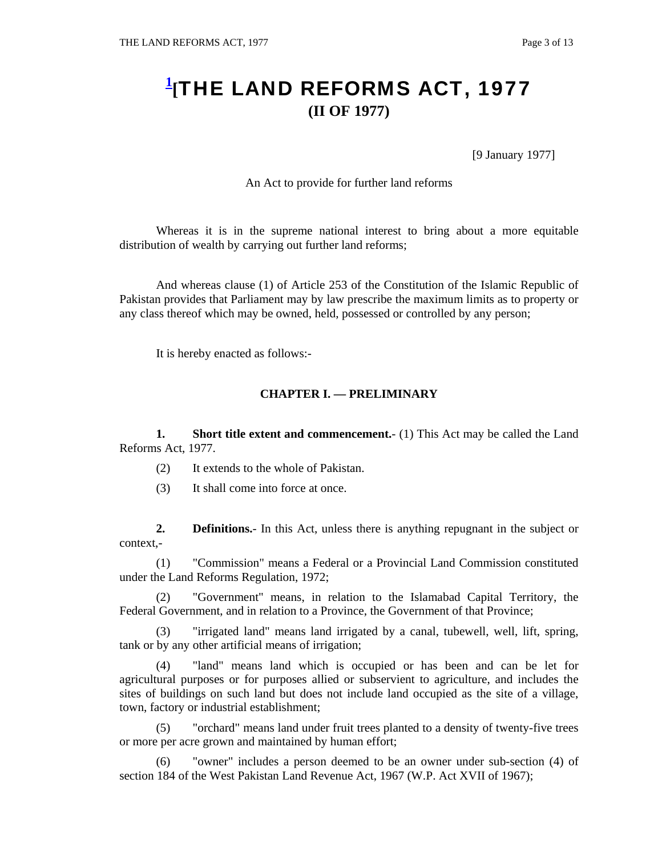## **1 [**THE LAND REFORMS ACT, 1977 **(II OF 1977)**

[9 January 1977]

An Act to provide for further land reforms

 Whereas it is in the supreme national interest to bring about a more equitable distribution of wealth by carrying out further land reforms;

 And whereas clause (1) of Article 253 of the Constitution of the Islamic Republic of Pakistan provides that Parliament may by law prescribe the maximum limits as to property or any class thereof which may be owned, held, possessed or controlled by any person;

It is hereby enacted as follows:-

#### **CHAPTER I. — PRELIMINARY**

**1.** Short title extent and commencement.- (1) This Act may be called the Land Reforms Act, 1977.

- (2) It extends to the whole of Pakistan.
- (3) It shall come into force at once.

**2. Definitions.**- In this Act, unless there is anything repugnant in the subject or context,-

 (1) "Commission" means a Federal or a Provincial Land Commission constituted under the Land Reforms Regulation, 1972;

 (2) "Government" means, in relation to the Islamabad Capital Territory, the Federal Government, and in relation to a Province, the Government of that Province;

 (3) "irrigated land" means land irrigated by a canal, tubewell, well, lift, spring, tank or by any other artificial means of irrigation;

 (4) "land" means land which is occupied or has been and can be let for agricultural purposes or for purposes allied or subservient to agriculture, and includes the sites of buildings on such land but does not include land occupied as the site of a village, town, factory or industrial establishment;

 (5) "orchard" means land under fruit trees planted to a density of twenty-five trees or more per acre grown and maintained by human effort;

 (6) "owner" includes a person deemed to be an owner under sub-section (4) of section 184 of the West Pakistan Land Revenue Act, 1967 (W.P. Act XVII of 1967);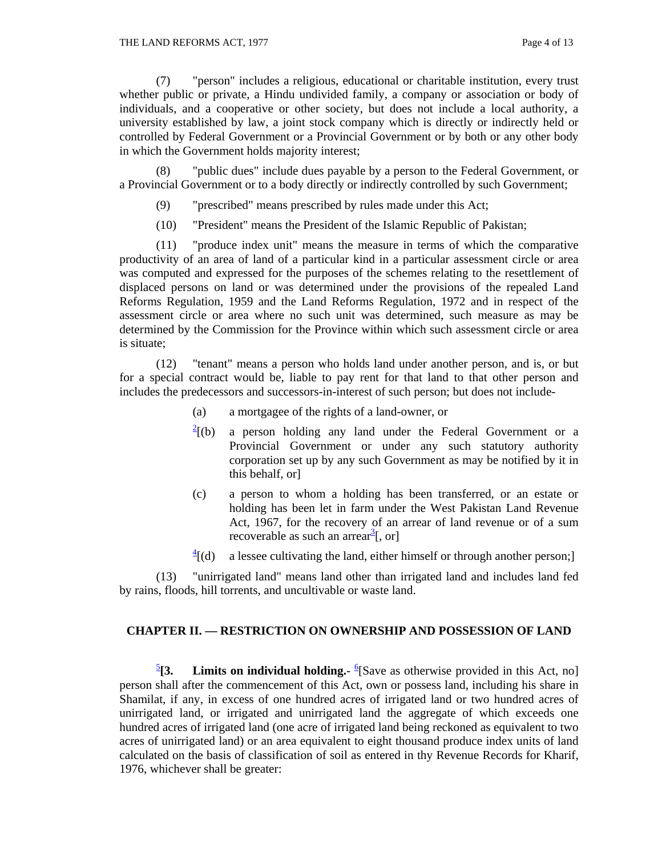(7) "person" includes a religious, educational or charitable institution, every trust whether public or private, a Hindu undivided family, a company or association or body of individuals, and a cooperative or other society, but does not include a local authority, a university established by law, a joint stock company which is directly or indirectly held or controlled by Federal Government or a Provincial Government or by both or any other body in which the Government holds majority interest;

 (8) "public dues" include dues payable by a person to the Federal Government, or a Provincial Government or to a body directly or indirectly controlled by such Government;

- (9) "prescribed" means prescribed by rules made under this Act;
- (10) "President" means the President of the Islamic Republic of Pakistan;

 (11) "produce index unit" means the measure in terms of which the comparative productivity of an area of land of a particular kind in a particular assessment circle or area was computed and expressed for the purposes of the schemes relating to the resettlement of displaced persons on land or was determined under the provisions of the repealed Land Reforms Regulation, 1959 and the Land Reforms Regulation, 1972 and in respect of the assessment circle or area where no such unit was determined, such measure as may be determined by the Commission for the Province within which such assessment circle or area is situate;

 (12) "tenant" means a person who holds land under another person, and is, or but for a special contract would be, liable to pay rent for that land to that other person and includes the predecessors and successors-in-interest of such person; but does not include-

- (a) a mortgagee of the rights of a land-owner, or
- $\frac{2}{2}$ [(b) a person holding any land under the Federal Government or a Provincial Government or under any such statutory authority corporation set up by any such Government as may be notified by it in this behalf, or]
- (c) a person to whom a holding has been transferred, or an estate or holding has been let in farm under the West Pakistan Land Revenue Act, 1967, for the recovery of an arrear of land revenue or of a sum recoverable as such an arrear<sup>3</sup>[, or]
- $\frac{4}{1}$  $(d)$ a lessee cultivating the land, either himself or through another person;

 (13) "unirrigated land" means land other than irrigated land and includes land fed by rains, floods, hill torrents, and uncultivable or waste land.

#### **CHAPTER II. — RESTRICTION ON OWNERSHIP AND POSSESSION OF LAND**

 $\frac{5}{1}$ [3. [3. Limits on individual holding.- <sup>6</sup>[Save as otherwise provided in this Act, no] person shall after the commencement of this Act, own or possess land, including his share in Shamilat, if any, in excess of one hundred acres of irrigated land or two hundred acres of unirrigated land, or irrigated and unirrigated land the aggregate of which exceeds one hundred acres of irrigated land (one acre of irrigated land being reckoned as equivalent to two acres of unirrigated land) or an area equivalent to eight thousand produce index units of land calculated on the basis of classification of soil as entered in thy Revenue Records for Kharif, 1976, whichever shall be greater: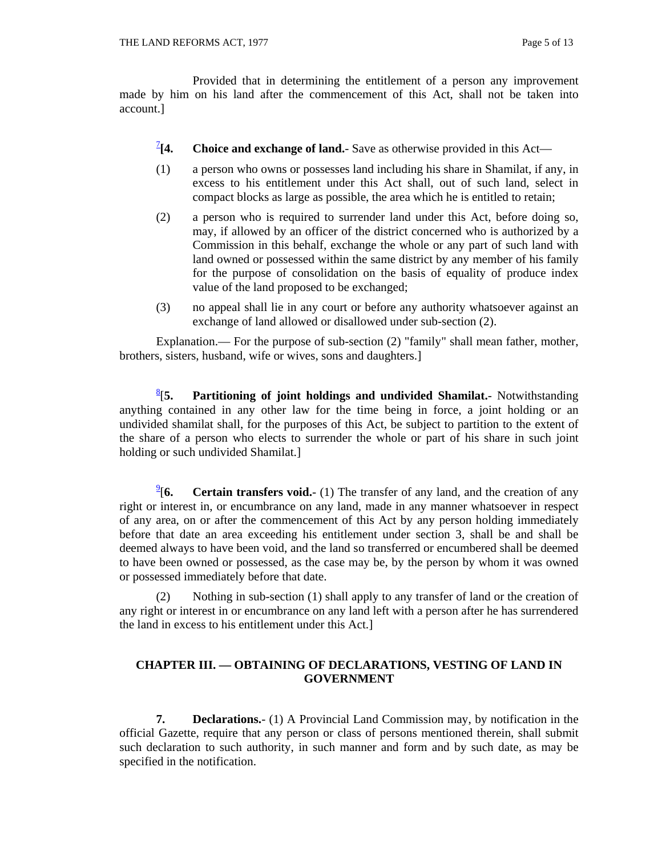Provided that in determining the entitlement of a person any improvement made by him on his land after the commencement of this Act, shall not be taken into account.]

- $^{2}$ [4. **[4. Choice and exchange of land.**- Save as otherwise provided in this Act—
- (1) a person who owns or possesses land including his share in Shamilat, if any, in excess to his entitlement under this Act shall, out of such land, select in compact blocks as large as possible, the area which he is entitled to retain;
- (2) a person who is required to surrender land under this Act, before doing so, may, if allowed by an officer of the district concerned who is authorized by a Commission in this behalf, exchange the whole or any part of such land with land owned or possessed within the same district by any member of his family for the purpose of consolidation on the basis of equality of produce index value of the land proposed to be exchanged;
- (3) no appeal shall lie in any court or before any authority whatsoever against an exchange of land allowed or disallowed under sub-section (2).

Explanation.— For the purpose of sub-section (2) "family" shall mean father, mother, brothers, sisters, husband, wife or wives, sons and daughters.]

 $\frac{8}{15}$ . [**5. Partitioning of joint holdings and undivided Shamilat.**- Notwithstanding anything contained in any other law for the time being in force, a joint holding or an undivided shamilat shall, for the purposes of this Act, be subject to partition to the extent of the share of a person who elects to surrender the whole or part of his share in such joint holding or such undivided Shamilat.]

 $\frac{9}{16}$ **Certain transfers void.**- (1) The transfer of any land, and the creation of any right or interest in, or encumbrance on any land, made in any manner whatsoever in respect of any area, on or after the commencement of this Act by any person holding immediately before that date an area exceeding his entitlement under section 3, shall be and shall be deemed always to have been void, and the land so transferred or encumbered shall be deemed to have been owned or possessed, as the case may be, by the person by whom it was owned or possessed immediately before that date.

 (2) Nothing in sub-section (1) shall apply to any transfer of land or the creation of any right or interest in or encumbrance on any land left with a person after he has surrendered the land in excess to his entitlement under this Act.]

#### **CHAPTER III. — OBTAINING OF DECLARATIONS, VESTING OF LAND IN GOVERNMENT**

**7. Declarations.**- (1) A Provincial Land Commission may, by notification in the official Gazette, require that any person or class of persons mentioned therein, shall submit such declaration to such authority, in such manner and form and by such date, as may be specified in the notification.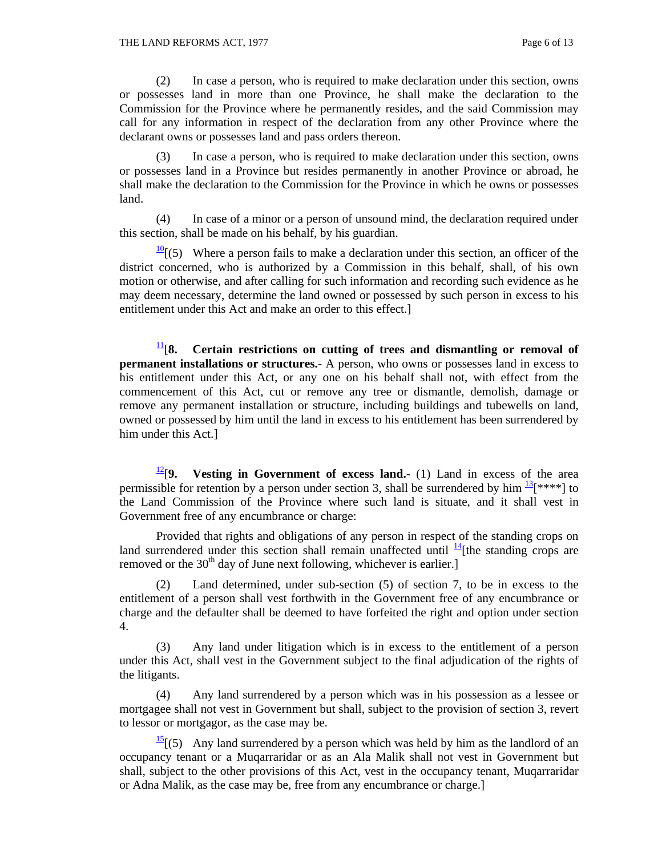(2) In case a person, who is required to make declaration under this section, owns or possesses land in more than one Province, he shall make the declaration to the Commission for the Province where he permanently resides, and the said Commission may call for any information in respect of the declaration from any other Province where the declarant owns or possesses land and pass orders thereon.

 (3) In case a person, who is required to make declaration under this section, owns or possesses land in a Province but resides permanently in another Province or abroad, he shall make the declaration to the Commission for the Province in which he owns or possesses land.

 (4) In case of a minor or a person of unsound mind, the declaration required under this section, shall be made on his behalf, by his guardian.

 $\frac{10}{10}$ [(5) Where a person fails to make a declaration under this section, an officer of the district concerned, who is authorized by a Commission in this behalf, shall, of his own motion or otherwise, and after calling for such information and recording such evidence as he may deem necessary, determine the land owned or possessed by such person in excess to his entitlement under this Act and make an order to this effect.]

 $\frac{11}{8}$ [8. Certain restrictions on cutting of trees and dismantling or removal of **permanent installations or structures.**- A person, who owns or possesses land in excess to his entitlement under this Act, or any one on his behalf shall not, with effect from the commencement of this Act, cut or remove any tree or dismantle, demolish, damage or remove any permanent installation or structure, including buildings and tubewells on land, owned or possessed by him until the land in excess to his entitlement has been surrendered by him under this Act.]

 $\frac{12}{9}$ . Vesting in Government of excess land.- (1) Land in excess of the area permissible for retention by a person under section 3, shall be surrendered by him  $\frac{13}{12}$ [\*\*\*\*] to the Land Commission of the Province where such land is situate, and it shall vest in Government free of any encumbrance or charge:

 Provided that rights and obligations of any person in respect of the standing crops on land surrendered under this section shall remain unaffected until  $\frac{14}{1}$ [the standing crops are removed or the  $30<sup>th</sup>$  day of June next following, whichever is earlier.

 (2) Land determined, under sub-section (5) of section 7, to be in excess to the entitlement of a person shall vest forthwith in the Government free of any encumbrance or charge and the defaulter shall be deemed to have forfeited the right and option under section 4.

 (3) Any land under litigation which is in excess to the entitlement of a person under this Act, shall vest in the Government subject to the final adjudication of the rights of the litigants.

 (4) Any land surrendered by a person which was in his possession as a lessee or mortgagee shall not vest in Government but shall, subject to the provision of section 3, revert to lessor or mortgagor, as the case may be.

 $\frac{15}{2}$  (5) Any land surrendered by a person which was held by him as the landlord of an occupancy tenant or a Muqarraridar or as an Ala Malik shall not vest in Government but shall, subject to the other provisions of this Act, vest in the occupancy tenant, Muqarraridar or Adna Malik, as the case may be, free from any encumbrance or charge.]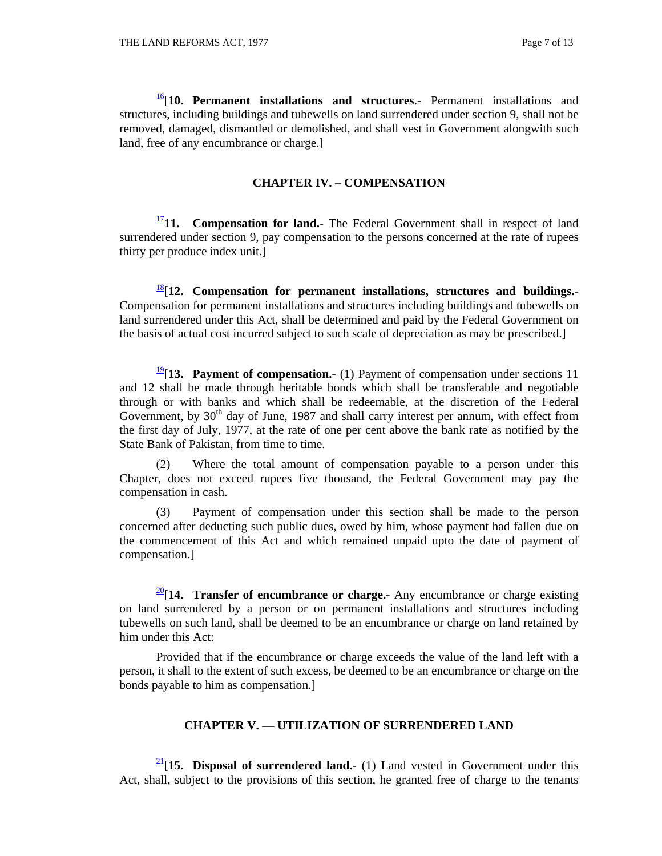16[**10. Permanent installations and structures**.- Permanent installations and structures, including buildings and tubewells on land surrendered under section 9, shall not be removed, damaged, dismantled or demolished, and shall vest in Government alongwith such land, free of any encumbrance or charge.]

#### **CHAPTER IV. – COMPENSATION**

 $\frac{17}{11}$ **11.** Compensation for land.- The Federal Government shall in respect of land surrendered under section 9, pay compensation to the persons concerned at the rate of rupees thirty per produce index unit.]

 $\frac{18}{12}$ [12. Compensation for permanent installations, structures and buildings.-Compensation for permanent installations and structures including buildings and tubewells on land surrendered under this Act, shall be determined and paid by the Federal Government on the basis of actual cost incurred subject to such scale of depreciation as may be prescribed.]

19[**13. Payment of compensation.**- (1) Payment of compensation under sections 11 and 12 shall be made through heritable bonds which shall be transferable and negotiable through or with banks and which shall be redeemable, at the discretion of the Federal Government, by  $30<sup>th</sup>$  day of June, 1987 and shall carry interest per annum, with effect from the first day of July, 1977, at the rate of one per cent above the bank rate as notified by the State Bank of Pakistan, from time to time.

 (2) Where the total amount of compensation payable to a person under this Chapter, does not exceed rupees five thousand, the Federal Government may pay the compensation in cash.

 (3) Payment of compensation under this section shall be made to the person concerned after deducting such public dues, owed by him, whose payment had fallen due on the commencement of this Act and which remained unpaid upto the date of payment of compensation.]

 $\frac{20}{14}$ . Transfer of encumbrance or charge.- Any encumbrance or charge existing on land surrendered by a person or on permanent installations and structures including tubewells on such land, shall be deemed to be an encumbrance or charge on land retained by him under this Act:

 Provided that if the encumbrance or charge exceeds the value of the land left with a person, it shall to the extent of such excess, be deemed to be an encumbrance or charge on the bonds payable to him as compensation.]

#### **CHAPTER V. — UTILIZATION OF SURRENDERED LAND**

 $\frac{21}{15}$ . Disposal of surrendered land.- (1) Land vested in Government under this Act, shall, subject to the provisions of this section, he granted free of charge to the tenants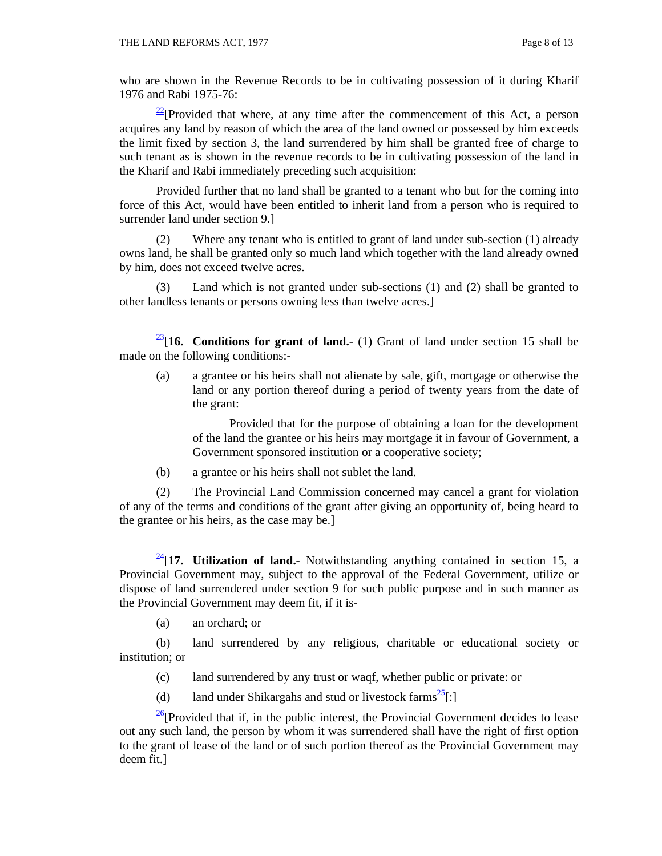who are shown in the Revenue Records to be in cultivating possession of it during Kharif 1976 and Rabi 1975-76:

 $2^{2}$ [Provided that where, at any time after the commencement of this Act, a person acquires any land by reason of which the area of the land owned or possessed by him exceeds the limit fixed by section 3, the land surrendered by him shall be granted free of charge to such tenant as is shown in the revenue records to be in cultivating possession of the land in the Kharif and Rabi immediately preceding such acquisition:

 Provided further that no land shall be granted to a tenant who but for the coming into force of this Act, would have been entitled to inherit land from a person who is required to surrender land under section 9.]

 (2) Where any tenant who is entitled to grant of land under sub-section (1) already owns land, he shall be granted only so much land which together with the land already owned by him, does not exceed twelve acres.

 (3) Land which is not granted under sub-sections (1) and (2) shall be granted to other landless tenants or persons owning less than twelve acres.]

 $\frac{23}{16}$ . Conditions for grant of land.- (1) Grant of land under section 15 shall be made on the following conditions:-

(a) a grantee or his heirs shall not alienate by sale, gift, mortgage or otherwise the land or any portion thereof during a period of twenty years from the date of the grant:

Provided that for the purpose of obtaining a loan for the development of the land the grantee or his heirs may mortgage it in favour of Government, a Government sponsored institution or a cooperative society;

(b) a grantee or his heirs shall not sublet the land.

 (2) The Provincial Land Commission concerned may cancel a grant for violation of any of the terms and conditions of the grant after giving an opportunity of, being heard to the grantee or his heirs, as the case may be.]

 $\frac{24}{17}$ . Utilization of land.- Notwithstanding anything contained in section 15, a Provincial Government may, subject to the approval of the Federal Government, utilize or dispose of land surrendered under section 9 for such public purpose and in such manner as the Provincial Government may deem fit, if it is-

(a) an orchard; or

 (b) land surrendered by any religious, charitable or educational society or institution; or

- (c) land surrendered by any trust or waqf, whether public or private: or
- (d) land under Shikargahs and stud or livestock farms<sup>25</sup>[:]

 $\frac{26}{26}$ [Provided that if, in the public interest, the Provincial Government decides to lease out any such land, the person by whom it was surrendered shall have the right of first option to the grant of lease of the land or of such portion thereof as the Provincial Government may deem fit.]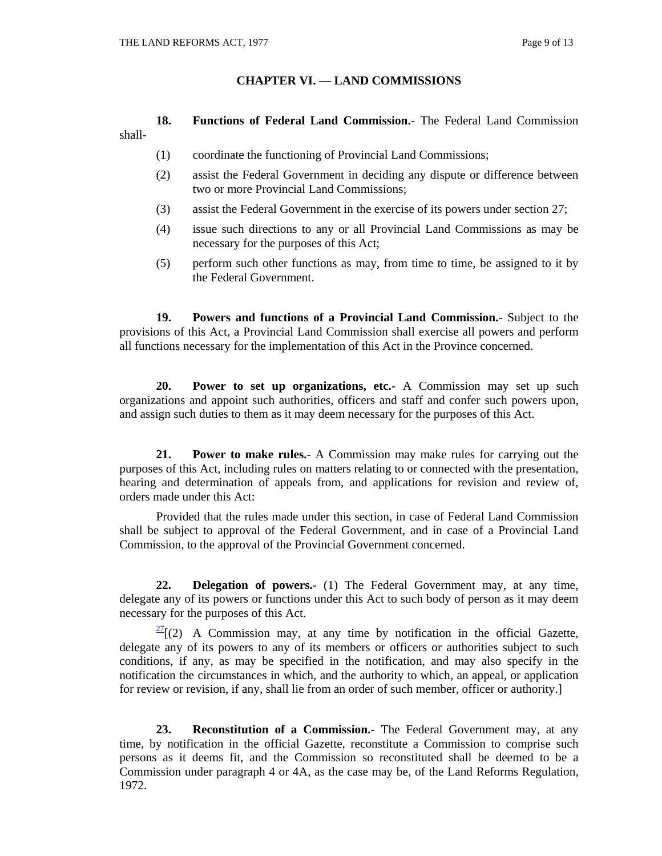#### **CHAPTER VI. — LAND COMMISSIONS**

**18. Functions of Federal Land Commission.**- The Federal Land Commission shall-

- (1) coordinate the functioning of Provincial Land Commissions;
- (2) assist the Federal Government in deciding any dispute or difference between two or more Provincial Land Commissions;
- (3) assist the Federal Government in the exercise of its powers under section 27;
- (4) issue such directions to any or all Provincial Land Commissions as may be necessary for the purposes of this Act;
- (5) perform such other functions as may, from time to time, be assigned to it by the Federal Government.

**19. Powers and functions of a Provincial Land Commission.**- Subject to the provisions of this Act, a Provincial Land Commission shall exercise all powers and perform all functions necessary for the implementation of this Act in the Province concerned.

**20. Power to set up organizations, etc.**- A Commission may set up such organizations and appoint such authorities, officers and staff and confer such powers upon, and assign such duties to them as it may deem necessary for the purposes of this Act.

**21. Power to make rules.**- A Commission may make rules for carrying out the purposes of this Act, including rules on matters relating to or connected with the presentation, hearing and determination of appeals from, and applications for revision and review of, orders made under this Act:

 Provided that the rules made under this section, in case of Federal Land Commission shall be subject to approval of the Federal Government, and in case of a Provincial Land Commission, to the approval of the Provincial Government concerned.

**22. Delegation of powers.**- (1) The Federal Government may, at any time, delegate any of its powers or functions under this Act to such body of person as it may deem necessary for the purposes of this Act.

 $\frac{27}{2}$ [(2) A Commission may, at any time by notification in the official Gazette, delegate any of its powers to any of its members or officers or authorities subject to such conditions, if any, as may be specified in the notification, and may also specify in the notification the circumstances in which, and the authority to which, an appeal, or application for review or revision, if any, shall lie from an order of such member, officer or authority.]

**23. Reconstitution of a Commission.**- The Federal Government may, at any time, by notification in the official Gazette, reconstitute a Commission to comprise such persons as it deems fit, and the Commission so reconstituted shall be deemed to be a Commission under paragraph 4 or 4A, as the case may be, of the Land Reforms Regulation, 1972.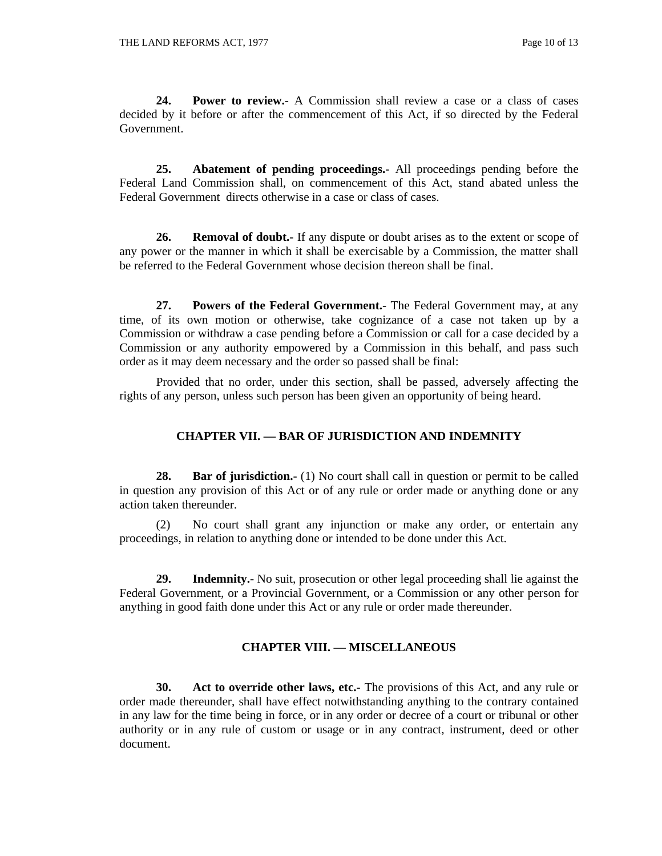**24. Power to review.**- A Commission shall review a case or a class of cases decided by it before or after the commencement of this Act, if so directed by the Federal Government.

**25. Abatement of pending proceedings.**- All proceedings pending before the Federal Land Commission shall, on commencement of this Act, stand abated unless the Federal Government directs otherwise in a case or class of cases.

**26. Removal of doubt.**- If any dispute or doubt arises as to the extent or scope of any power or the manner in which it shall be exercisable by a Commission, the matter shall be referred to the Federal Government whose decision thereon shall be final.

**27. Powers of the Federal Government.**- The Federal Government may, at any time, of its own motion or otherwise, take cognizance of a case not taken up by a Commission or withdraw a case pending before a Commission or call for a case decided by a Commission or any authority empowered by a Commission in this behalf, and pass such order as it may deem necessary and the order so passed shall be final:

 Provided that no order, under this section, shall be passed, adversely affecting the rights of any person, unless such person has been given an opportunity of being heard.

#### **CHAPTER VII. — BAR OF JURISDICTION AND INDEMNITY**

**28. Bar of jurisdiction.**- (1) No court shall call in question or permit to be called in question any provision of this Act or of any rule or order made or anything done or any action taken thereunder.

 (2) No court shall grant any injunction or make any order, or entertain any proceedings, in relation to anything done or intended to be done under this Act.

**29. Indemnity.**- No suit, prosecution or other legal proceeding shall lie against the Federal Government, or a Provincial Government, or a Commission or any other person for anything in good faith done under this Act or any rule or order made thereunder.

#### **CHAPTER VIII. — MISCELLANEOUS**

**30. Act to override other laws, etc.-** The provisions of this Act, and any rule or order made thereunder, shall have effect notwithstanding anything to the contrary contained in any law for the time being in force, or in any order or decree of a court or tribunal or other authority or in any rule of custom or usage or in any contract, instrument, deed or other document.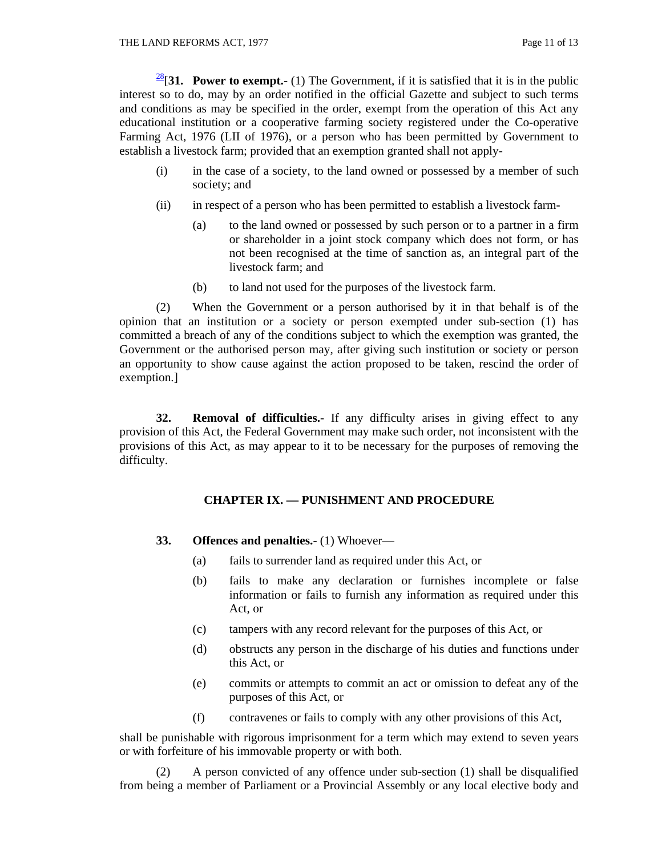$\frac{28}{31}$ . Power to exempt.- (1) The Government, if it is satisfied that it is in the public interest so to do, may by an order notified in the official Gazette and subject to such terms and conditions as may be specified in the order, exempt from the operation of this Act any educational institution or a cooperative farming society registered under the Co-operative Farming Act, 1976 (LII of 1976), or a person who has been permitted by Government to establish a livestock farm; provided that an exemption granted shall not apply-

- (i) in the case of a society, to the land owned or possessed by a member of such society; and
- (ii) in respect of a person who has been permitted to establish a livestock farm-
	- (a) to the land owned or possessed by such person or to a partner in a firm or shareholder in a joint stock company which does not form, or has not been recognised at the time of sanction as, an integral part of the livestock farm; and
	- (b) to land not used for the purposes of the livestock farm.

 (2) When the Government or a person authorised by it in that behalf is of the opinion that an institution or a society or person exempted under sub-section (1) has committed a breach of any of the conditions subject to which the exemption was granted, the Government or the authorised person may, after giving such institution or society or person an opportunity to show cause against the action proposed to be taken, rescind the order of exemption.]

**32. Removal of difficulties.**- If any difficulty arises in giving effect to any provision of this Act, the Federal Government may make such order, not inconsistent with the provisions of this Act, as may appear to it to be necessary for the purposes of removing the difficulty.

#### **CHAPTER IX. — PUNISHMENT AND PROCEDURE**

- **33. Offences and penalties.** (1) Whoever—
	- (a) fails to surrender land as required under this Act, or
	- (b) fails to make any declaration or furnishes incomplete or false information or fails to furnish any information as required under this Act, or
	- (c) tampers with any record relevant for the purposes of this Act, or
	- (d) obstructs any person in the discharge of his duties and functions under this Act, or
	- (e) commits or attempts to commit an act or omission to defeat any of the purposes of this Act, or
	- (f) contravenes or fails to comply with any other provisions of this Act,

shall be punishable with rigorous imprisonment for a term which may extend to seven years or with forfeiture of his immovable property or with both.

 (2) A person convicted of any offence under sub-section (1) shall be disqualified from being a member of Parliament or a Provincial Assembly or any local elective body and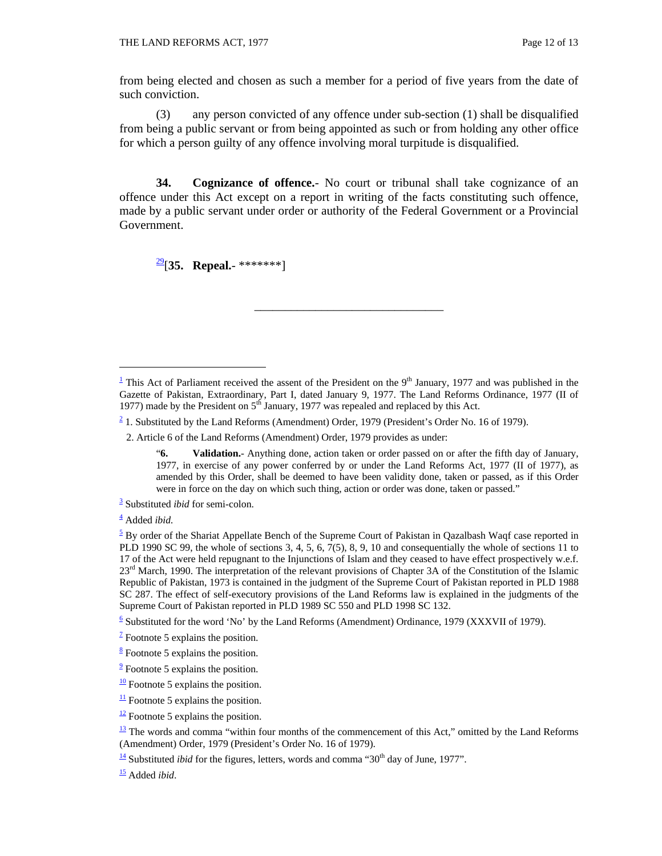from being elected and chosen as such a member for a period of five years from the date of such conviction.

 (3) any person convicted of any offence under sub-section (1) shall be disqualified from being a public servant or from being appointed as such or from holding any other office for which a person guilty of any offence involving moral turpitude is disqualified.

**34. Cognizance of offence.**- No court or tribunal shall take cognizance of an offence under this Act except on a report in writing of the facts constituting such offence, made by a public servant under order or authority of the Federal Government or a Provincial Government.

29[**35. Repeal.**- \*\*\*\*\*\*\*]

\_\_\_\_\_\_\_\_\_\_\_\_\_\_\_\_\_\_\_\_\_\_\_\_\_\_\_\_\_\_\_

 $\overline{a}$ 

 $\frac{6}{5}$  Substituted for the word 'No' by the Land Reforms (Amendment) Ordinance, 1979 (XXXVII of 1979).

15 Added *ibid*.

<sup>&</sup>lt;sup>1</sup> This Act of Parliament received the assent of the President on the  $9<sup>th</sup>$  January, 1977 and was published in the Gazette of Pakistan, Extraordinary, Part I, dated January 9, 1977. The Land Reforms Ordinance, 1977 (II of 1977) made by the President on  $5<sup>th</sup>$  January, 1977 was repealed and replaced by this Act.

 $2/2$  1. Substituted by the Land Reforms (Amendment) Order, 1979 (President's Order No. 16 of 1979).

 <sup>2.</sup> Article 6 of the Land Reforms (Amendment) Order, 1979 provides as under:

 <sup>&</sup>quot;**6. Validation.**- Anything done, action taken or order passed on or after the fifth day of January, 1977, in exercise of any power conferred by or under the Land Reforms Act, 1977 (II of 1977), as amended by this Order, shall be deemed to have been validity done, taken or passed, as if this Order were in force on the day on which such thing, action or order was done, taken or passed."

<sup>3</sup> Substituted *ibid* for semi-colon.

<sup>4</sup> Added *ibid.*

 $5$  By order of the Shariat Appellate Bench of the Supreme Court of Pakistan in Qazalbash Waqf case reported in PLD 1990 SC 99, the whole of sections 3, 4, 5, 6, 7(5), 8, 9, 10 and consequentially the whole of sections 11 to 17 of the Act were held repugnant to the Injunctions of Islam and they ceased to have effect prospectively w.e.f. 23<sup>rd</sup> March, 1990. The interpretation of the relevant provisions of Chapter 3A of the Constitution of the Islamic Republic of Pakistan, 1973 is contained in the judgment of the Supreme Court of Pakistan reported in PLD 1988 SC 287. The effect of self-executory provisions of the Land Reforms law is explained in the judgments of the Supreme Court of Pakistan reported in PLD 1989 SC 550 and PLD 1998 SC 132.

 $\frac{7}{1}$  Footnote 5 explains the position.

 $\frac{8}{5}$  Footnote 5 explains the position.

 $\frac{9}{2}$  Footnote 5 explains the position.

 $\frac{10}{10}$  Footnote 5 explains the position.

 $\frac{11}{11}$  Footnote 5 explains the position.

 $\frac{12}{2}$  Footnote 5 explains the position.

 $\frac{13}{13}$  The words and comma "within four months of the commencement of this Act," omitted by the Land Reforms (Amendment) Order, 1979 (President's Order No. 16 of 1979).

 $\frac{14}{10}$  Substituted *ibid* for the figures, letters, words and comma "30<sup>th</sup> day of June, 1977".